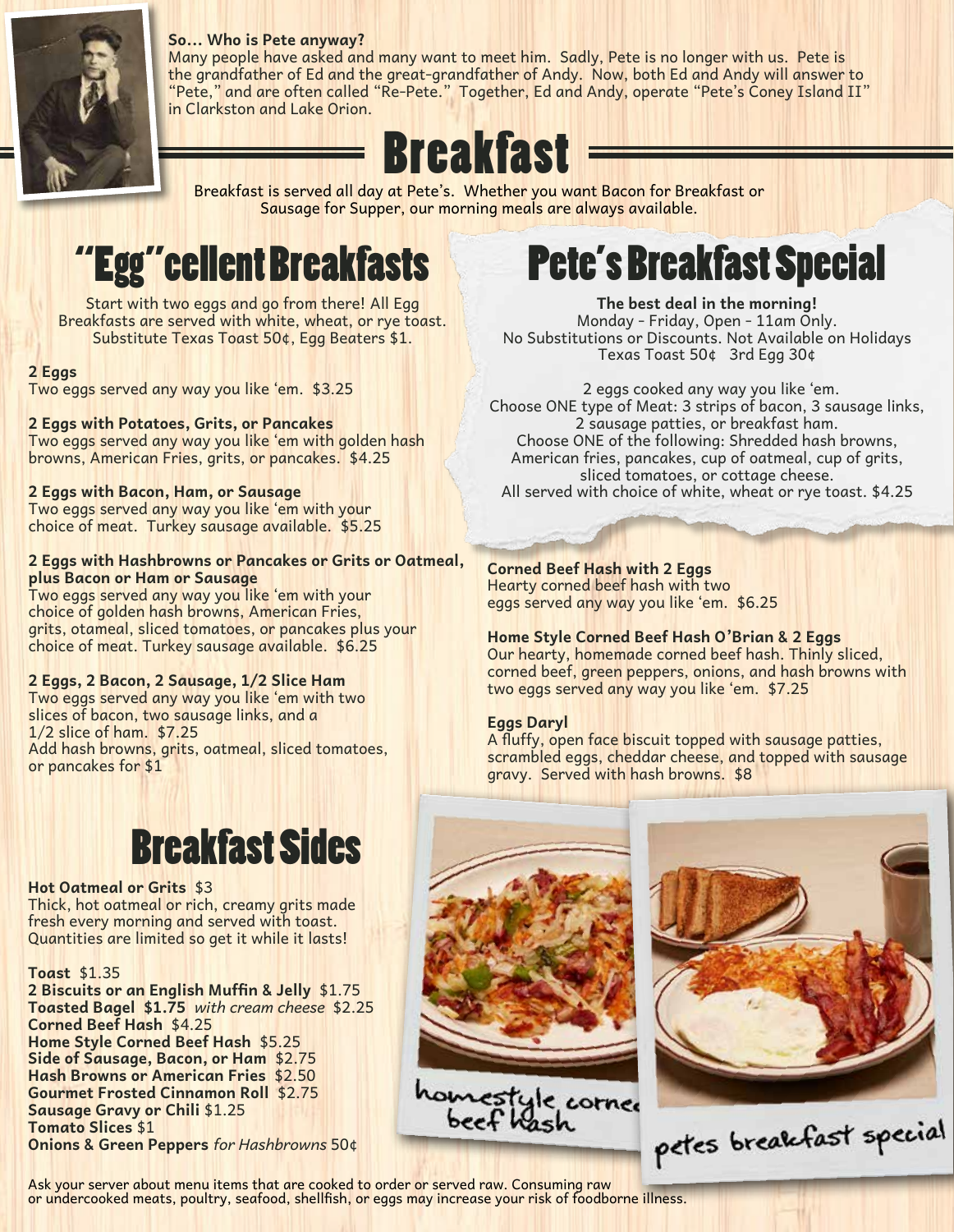

### **So... Who is Pete anyway?**

Many people have asked and many want to meet him. Sadly, Pete is no longer with us. Pete is the grandfather of Ed and the great-grandfather of Andy. Now, both Ed and Andy will answer to "Pete," and are often called "Re-Pete." Together, Ed and Andy, operate "Pete's Coney Island II" in Clarkston and Lake Orion.

# **Breakfast**

Breakfast is served all day at Pete's. Whether you want Bacon for Breakfast or Sausage for Supper, our morning meals are always available.

# "Egg"cellent Breakfasts

Start with two eggs and go from there! All Egg Breakfasts are served with white, wheat, or rye toast. Substitute Texas Toast 50¢, Egg Beaters \$1.

### **2 Eggs**

Two eggs served any way you like 'em. \$3.25

### **2 Eggs with Potatoes, Grits, or Pancakes**

Two eggs served any way you like 'em with golden hash browns, American Fries, grits, or pancakes. \$4.25

### **2 Eggs with Bacon, Ham, or Sausage**

Two eggs served any way you like 'em with your choice of meat. Turkey sausage available. \$5.25

### **2 Eggs with Hashbrowns or Pancakes or Grits or Oatmeal, plus Bacon or Ham or Sausage**

Two eggs served any way you like 'em with your choice of golden hash browns, American Fries, grits, otameal, sliced tomatoes, or pancakes plus your choice of meat. Turkey sausage available. \$6.25

### **2 Eggs, 2 Bacon, 2 Sausage, 1/2 Slice Ham**

Two eggs served any way you like 'em with two slices of bacon, two sausage links, and a 1/2 slice of ham. \$7.25 Add hash browns, grits, oatmeal, sliced tomatoes, or pancakes for \$1

# Breakfast Sides

### **Hot Oatmeal or Grits** \$3

Thick, hot oatmeal or rich, creamy grits made fresh every morning and served with toast. Quantities are limited so get it while it lasts!

### **Toast** \$1.35

**2 Biscuits or an English Muffin & Jelly** \$1.75 **Toasted Bagel \$1.75** *with cream cheese* \$2.25 **Corned Beef Hash** \$4.25 **Home Style Corned Beef Hash** \$5.25 **Side of Sausage, Bacon, or Ham** \$2.75 **Hash Browns or American Fries** \$2.50 **Gourmet Frosted Cinnamon Roll** \$2.75 **Sausage Gravy or Chili** \$1.25 **Tomato Slices** \$1

**Onions & Green Peppers** *for Hashbrowns* 50¢

### Pete's Breakfast Special

**The best deal in the morning!** Monday - Friday, Open - 11am Only. No Substitutions or Discounts. Not Available on Holidays Texas Toast 50¢ 3rd Egg 30¢

 2 eggs cooked any way you like 'em. Choose ONE type of Meat: 3 strips of bacon, 3 sausage links, 2 sausage patties, or breakfast ham. Choose ONE of the following: Shredded hash browns, American fries, pancakes, cup of oatmeal, cup of grits, sliced tomatoes, or cottage cheese. All served with choice of white, wheat or rye toast. \$4.25

### **Corned Beef Hash with 2 Eggs** Hearty corned beef hash with two eggs served any way you like 'em. \$6.25

### **Home Style Corned Beef Hash O'Brian & 2 Eggs** Our hearty, homemade corned beef hash. Thinly sliced, corned beef, green peppers, onions, and hash browns with two eggs served any way you like 'em. \$7.25

### **Eggs Daryl**

A fluffy, open face biscuit topped with sausage patties, scrambled eggs, cheddar cheese, and topped with sausage gravy. Served with hash browns. \$8





petes breakfast special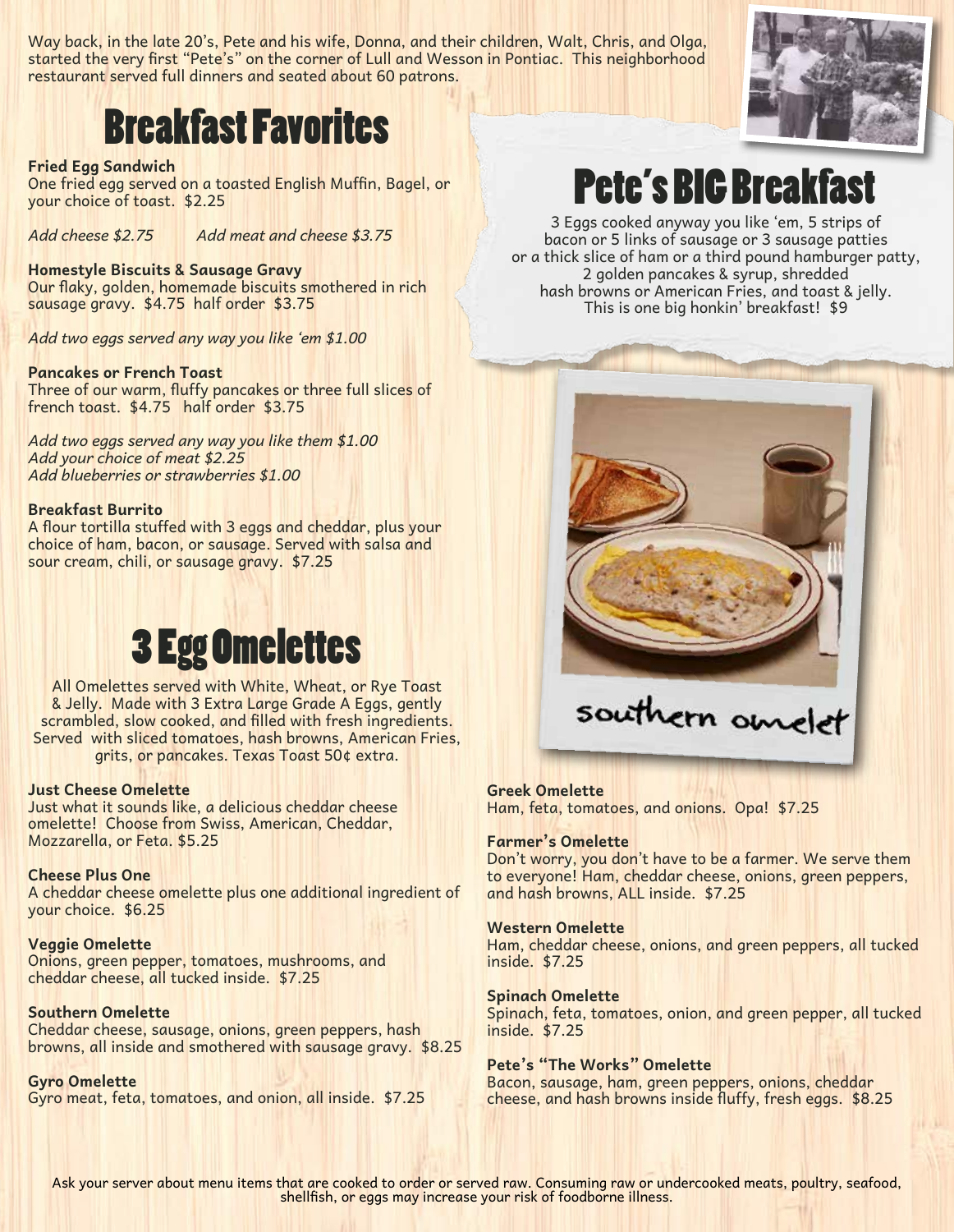Way back, in the late 20's, Pete and his wife, Donna, and their children, Walt, Chris, and Olga, started the very first "Pete's" on the corner of Lull and Wesson in Pontiac. This neighborhood restaurant served full dinners and seated about 60 patrons.

### Breakfast Favorites

### **Fried Egg Sandwich**

One fried egg served on a toasted English Muffin, Bagel, or your choice of toast. \$2.25

*Add cheese \$2.75 Add meat and cheese \$3.75*

### **Homestyle Biscuits & Sausage Gravy**

Our flaky, golden, homemade biscuits smothered in rich sausage gravy. \$4.75 half order \$3.75

*Add two eggs served any way you like 'em \$1.00*

#### **Pancakes or French Toast**

Three of our warm, fluffy pancakes or three full slices of french toast. \$4.75 half order \$3.75

*Add two eggs served any way you like them \$1.00 Add your choice of meat \$2.25 Add blueberries or strawberries \$1.00*

#### **Breakfast Burrito**

A flour tortilla stuffed with 3 eggs and cheddar, plus your choice of ham, bacon, or sausage. Served with salsa and sour cream, chili, or sausage gravy. \$7.25

### 3 Egg Omelettes

All Omelettes served with White, Wheat, or Rye Toast & Jelly. Made with 3 Extra Large Grade A Eggs, gently scrambled, slow cooked, and filled with fresh ingredients. Served with sliced tomatoes, hash browns, American Fries, grits, or pancakes. Texas Toast 50¢ extra.

### **Just Cheese Omelette**

Just what it sounds like, a delicious cheddar cheese omelette! Choose from Swiss, American, Cheddar, Mozzarella, or Feta. \$5.25

#### **Cheese Plus One**

A cheddar cheese omelette plus one additional ingredient of your choice. \$6.25

### **Veggie Omelette**

Onions, green pepper, tomatoes, mushrooms, and cheddar cheese, all tucked inside. \$7.25

### **Southern Omelette**

Cheddar cheese, sausage, onions, green peppers, hash browns, all inside and smothered with sausage gravy. \$8.25

**Gyro Omelette** Gyro meat, feta, tomatoes, and onion, all inside. \$7.25

# Pete's BIG Breakfast

3 Eggs cooked anyway you like 'em, 5 strips of bacon or 5 links of sausage or 3 sausage patties or a thick slice of ham or a third pound hamburger patty, 2 golden pancakes & syrup, shredded hash browns or American Fries, and toast & jelly. This is one big honkin' breakfast! \$9



southern omelet

#### **Greek Omelette**

Ham, feta, tomatoes, and onions. Opa! \$7.25

### **Farmer's Omelette**

Don't worry, you don't have to be a farmer. We serve them to everyone! Ham, cheddar cheese, onions, green peppers, and hash browns, ALL inside. \$7.25

#### **Western Omelette**

Ham, cheddar cheese, onions, and green peppers, all tucked inside. \$7.25

#### **Spinach Omelette**

Spinach, feta, tomatoes, onion, and green pepper, all tucked inside. \$7.25

### **Pete's "The Works" Omelette**

Bacon, sausage, ham, green peppers, onions, cheddar cheese, and hash browns inside fluffy, fresh eggs. \$8.25



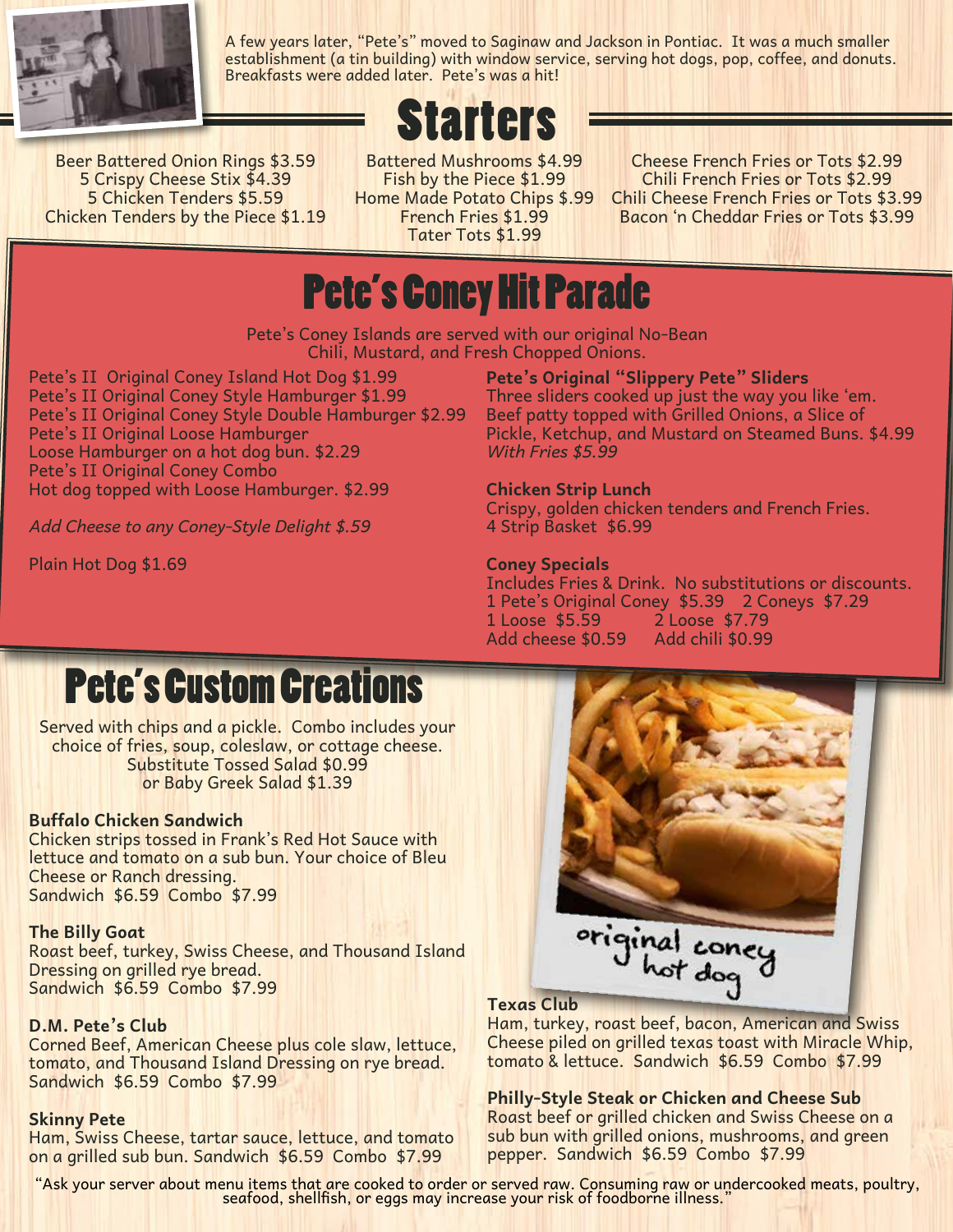

A few years later, "Pete's" moved to Saginaw and Jackson in Pontiac. It was a much smaller establishment (a tin building) with window service, serving hot dogs, pop, coffee, and donuts. Breakfasts were added later. Pete's was a hit!

# **Trers**

Beer Battered Onion Rings \$3.59 5 Crispy Cheese Stix \$4.39 5 Chicken Tenders \$5.59 Chicken Tenders by the Piece \$1.19

Battered Mushrooms \$4.99 Fish by the Piece \$1.99 Home Made Potato Chips \$.99 French Fries \$1.99 Tater Tots \$1.99

Cheese French Fries or Tots \$2.99 Chili French Fries or Tots \$2.99 Chili Cheese French Fries or Tots \$3.99 Bacon 'n Cheddar Fries or Tots \$3.99

### Pete's Coney Hit Parade

Pete's Coney Islands are served with our original No-Bean Chili, Mustard, and Fresh Chopped Onions.

Pete's II Original Coney Island Hot Dog \$1.99 Pete's II Original Coney Style Hamburger \$1.99 Pete's II Original Coney Style Double Hamburger \$2.99 Pete's II Original Loose Hamburger Loose Hamburger on a hot dog bun. \$2.29 Pete's II Original Coney Combo Hot dog topped with Loose Hamburger. \$2.99

*Add Cheese to any Coney-Style Delight \$.59*

Plain Hot Dog \$1.69

**Pete's Original "Slippery Pete" Sliders** Three sliders cooked up just the way you like 'em. Beef patty topped with Grilled Onions, a Slice of Pickle, Ketchup, and Mustard on Steamed Buns. \$4.99 *With Fries \$5.99*

### **Chicken Strip Lunch**

Crispy, golden chicken tenders and French Fries. 4 Strip Basket \$6.99

### **Coney Specials**

Includes Fries & Drink. No substitutions or discounts. 1 Pete's Original Coney \$5.39 2 Coneys \$7.29 1 Loose \$5.59 2 Loose \$7.79 Add cheese \$0.59 Add chili \$0.99

# Pete's Custom Creations

Served with chips and a pickle. Combo includes your choice of fries, soup, coleslaw, or cottage cheese. Substitute Tossed Salad \$0.99 or Baby Greek Salad \$1.39

### **Buffalo Chicken Sandwich**

Chicken strips tossed in Frank's Red Hot Sauce with lettuce and tomato on a sub bun. Your choice of Bleu Cheese or Ranch dressing. Sandwich \$6.59 Combo \$7.99

### **The Billy Goat**

Roast beef, turkey, Swiss Cheese, and Thousand Island Dressing on grilled rye bread. Sandwich \$6.59 Combo \$7.99

### **D.M. Pete's Club**

Corned Beef, American Cheese plus cole slaw, lettuce, tomato, and Thousand Island Dressing on rye bread. Sandwich \$6.59 Combo \$7.99

### **Skinny Pete**

Ham, Swiss Cheese, tartar sauce, lettuce, and tomato on a grilled sub bun. Sandwich \$6.59 Combo \$7.99



Ham, turkey, roast beef, bacon, American and Swiss Cheese piled on grilled texas toast with Miracle Whip, tomato & lettuce. Sandwich \$6.59 Combo \$7.99

### **Philly-Style Steak or Chicken and Cheese Sub**

Roast beef or grilled chicken and Swiss Cheese on a sub bun with grilled onions, mushrooms, and green pepper. Sandwich \$6.59 Combo \$7.99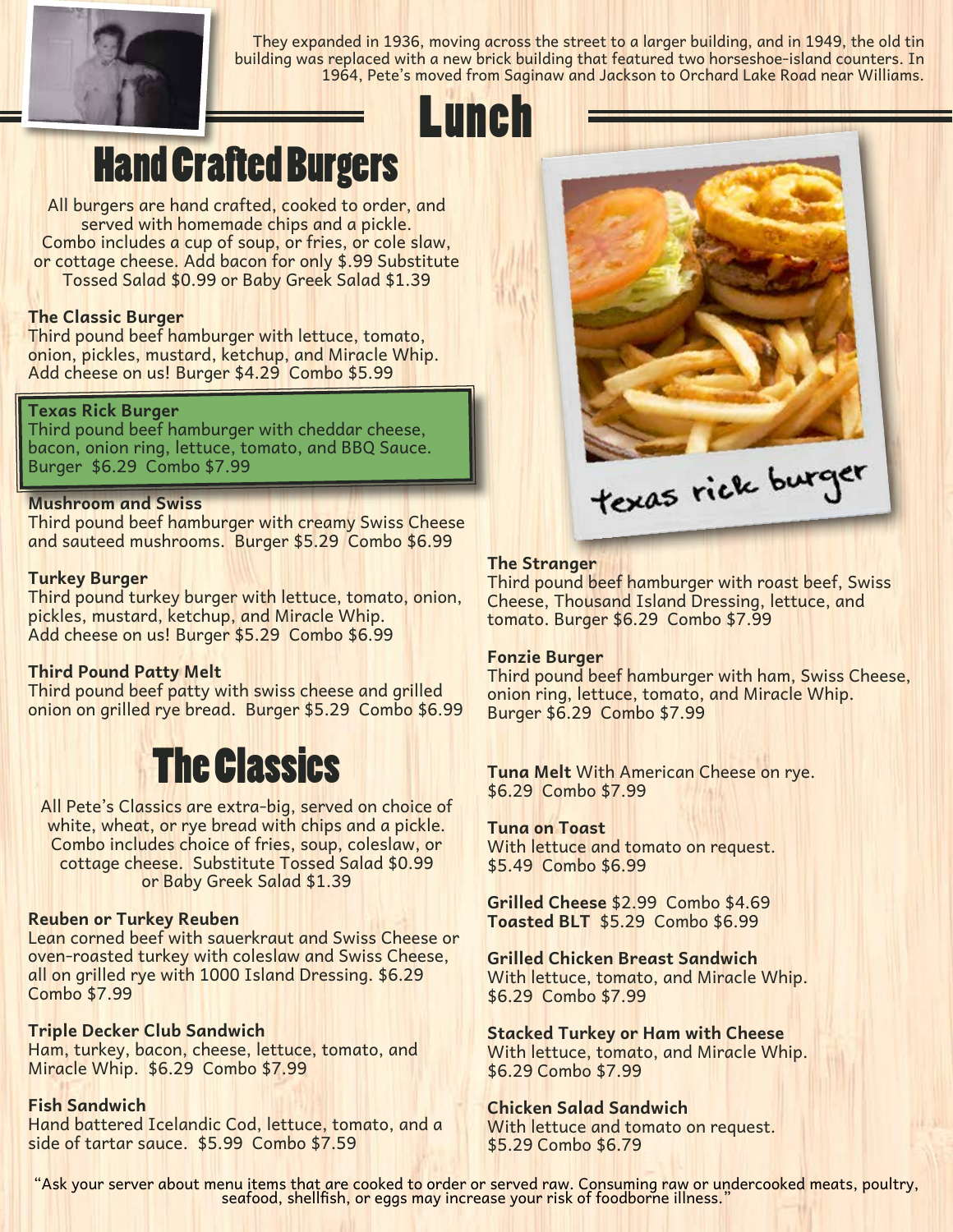

They expanded in 1936, moving across the street to a larger building, and in 1949, the old tin building was replaced with a new brick building that featured two horseshoe-island counters. In 1964, Pete's moved from Saginaw and Jackson to Orchard Lake Road near Williams.

# Lunch

### Hand Crafted Burgers

All burgers are hand crafted, cooked to order, and served with homemade chips and a pickle. Combo includes a cup of soup, or fries, or cole slaw, or cottage cheese. Add bacon for only \$.99 Substitute Tossed Salad \$0.99 or Baby Greek Salad \$1.39

### **The Classic Burger**

Third pound beef hamburger with lettuce, tomato, onion, pickles, mustard, ketchup, and Miracle Whip. Add cheese on us! Burger \$4.29 Combo \$5.99

### **Texas Rick Burger**

Third pound beef hamburger with cheddar cheese, bacon, onion ring, lettuce, tomato, and BBQ Sauce. Burger \$6.29 Combo \$7.99

### **Mushroom and Swiss**

Third pound beef hamburger with creamy Swiss Cheese and sauteed mushrooms. Burger \$5.29 Combo \$6.99

### **Turkey Burger**

Third pound turkey burger with lettuce, tomato, onion, pickles, mustard, ketchup, and Miracle Whip. Add cheese on us! Burger \$5.29 Combo \$6.99

### **Third Pound Patty Melt**

Third pound beef patty with swiss cheese and grilled onion on grilled rye bread. Burger \$5.29 Combo \$6.99

### The Classics

All Pete's Classics are extra-big, served on choice of white, wheat, or rye bread with chips and a pickle. Combo includes choice of fries, soup, coleslaw, or cottage cheese. Substitute Tossed Salad \$0.99 or Baby Greek Salad \$1.39

### **Reuben or Turkey Reuben**

Lean corned beef with sauerkraut and Swiss Cheese or oven-roasted turkey with coleslaw and Swiss Cheese, all on grilled rye with 1000 Island Dressing. \$6.29 Combo \$7.99

### **Triple Decker Club Sandwich**

Ham, turkey, bacon, cheese, lettuce, tomato, and Miracle Whip. \$6.29 Combo \$7.99

### **Fish Sandwich**

Hand battered Icelandic Cod, lettuce, tomato, and a side of tartar sauce. \$5.99 Combo \$7.59



### **The Stranger**

Third pound beef hamburger with roast beef, Swiss Cheese, Thousand Island Dressing, lettuce, and tomato. Burger \$6.29 Combo \$7.99

### **Fonzie Burger**

Third pound beef hamburger with ham, Swiss Cheese, onion ring, lettuce, tomato, and Miracle Whip. Burger \$6.29 Combo \$7.99

**Tuna Melt** With American Cheese on rye. \$6.29 Combo \$7.99

### **Tuna on Toast**

With lettuce and tomato on request. \$5.49 Combo \$6.99

**Grilled Cheese** \$2.99 Combo \$4.69 **Toasted BLT** \$5.29 Combo \$6.99

**Grilled Chicken Breast Sandwich** With lettuce, tomato, and Miracle Whip. \$6.29 Combo \$7.99

**Stacked Turkey or Ham with Cheese** With lettuce, tomato, and Miracle Whip. \$6.29 Combo \$7.99

**Chicken Salad Sandwich** With lettuce and tomato on request. \$5.29 Combo \$6.79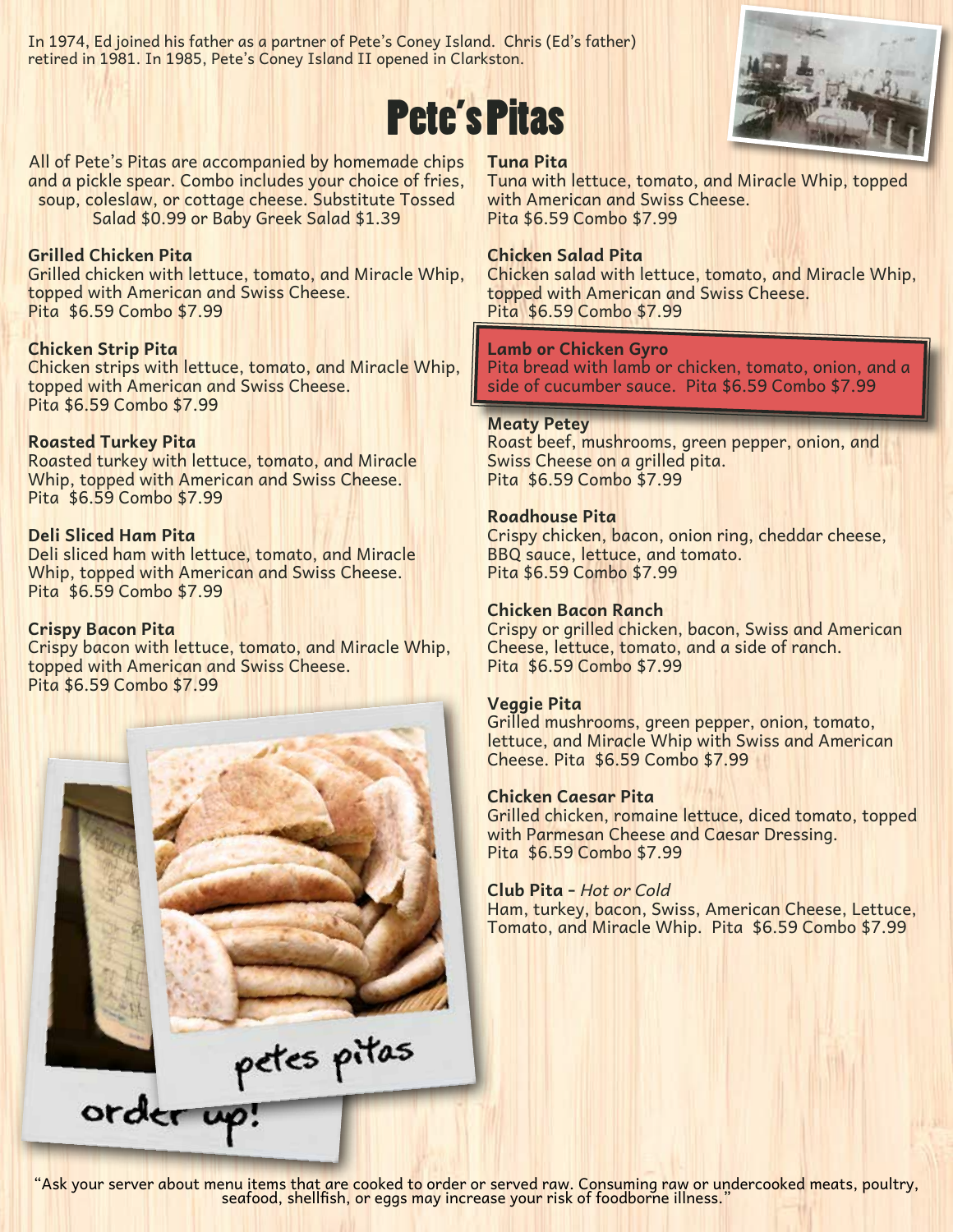In 1974, Ed joined his father as a partner of Pete's Coney Island. Chris (Ed's father) retired in 1981. In 1985, Pete's Coney Island II opened in Clarkston.





All of Pete's Pitas are accompanied by homemade chips and a pickle spear. Combo includes your choice of fries, soup, coleslaw, or cottage cheese. Substitute Tossed Salad \$0.99 or Baby Greek Salad \$1.39

### **Grilled Chicken Pita**

Grilled chicken with lettuce, tomato, and Miracle Whip, topped with American and Swiss Cheese. Pita \$6.59 Combo \$7.99

### **Chicken Strip Pita**

Chicken strips with lettuce, tomato, and Miracle Whip, topped with American and Swiss Cheese. Pita \$6.59 Combo \$7.99

### **Roasted Turkey Pita**

Roasted turkey with lettuce, tomato, and Miracle Whip, topped with American and Swiss Cheese. Pita \$6.59 Combo \$7.99

### **Deli Sliced Ham Pita**

Deli sliced ham with lettuce, tomato, and Miracle Whip, topped with American and Swiss Cheese. Pita \$6.59 Combo \$7.99

### **Crispy Bacon Pita**

Crispy bacon with lettuce, tomato, and Miracle Whip, topped with American and Swiss Cheese. Pita \$6.59 Combo \$7.99



**Tuna Pita**

Tuna with lettuce, tomato, and Miracle Whip, topped with American and Swiss Cheese. Pita \$6.59 Combo \$7.99

### **Chicken Salad Pita**

Chicken salad with lettuce, tomato, and Miracle Whip, topped with American and Swiss Cheese. Pita \$6.59 Combo \$7.99

### **Lamb or Chicken Gyro**

Pita bread with lamb or chicken, tomato, onion, and a side of cucumber sauce. Pita \$6.59 Combo \$7.99

### **Meaty Petey**

Roast beef, mushrooms, green pepper, onion, and Swiss Cheese on a grilled pita. Pita \$6.59 Combo \$7.99

#### **Roadhouse Pita**

Crispy chicken, bacon, onion ring, cheddar cheese, BBQ sauce, lettuce, and tomato. Pita \$6.59 Combo \$7.99

### **Chicken Bacon Ranch**

Crispy or grilled chicken, bacon, Swiss and American Cheese, lettuce, tomato, and a side of ranch. Pita \$6.59 Combo \$7.99

### **Veggie Pita**

Grilled mushrooms, green pepper, onion, tomato, lettuce, and Miracle Whip with Swiss and American Cheese. Pita \$6.59 Combo \$7.99

### **Chicken Caesar Pita**

Grilled chicken, romaine lettuce, diced tomato, topped with Parmesan Cheese and Caesar Dressing. Pita \$6.59 Combo \$7.99

### **Club Pita -** *Hot or Cold*

Ham, turkey, bacon, Swiss, American Cheese, Lettuce, Tomato, and Miracle Whip. Pita \$6.59 Combo \$7.99

petes pitas order up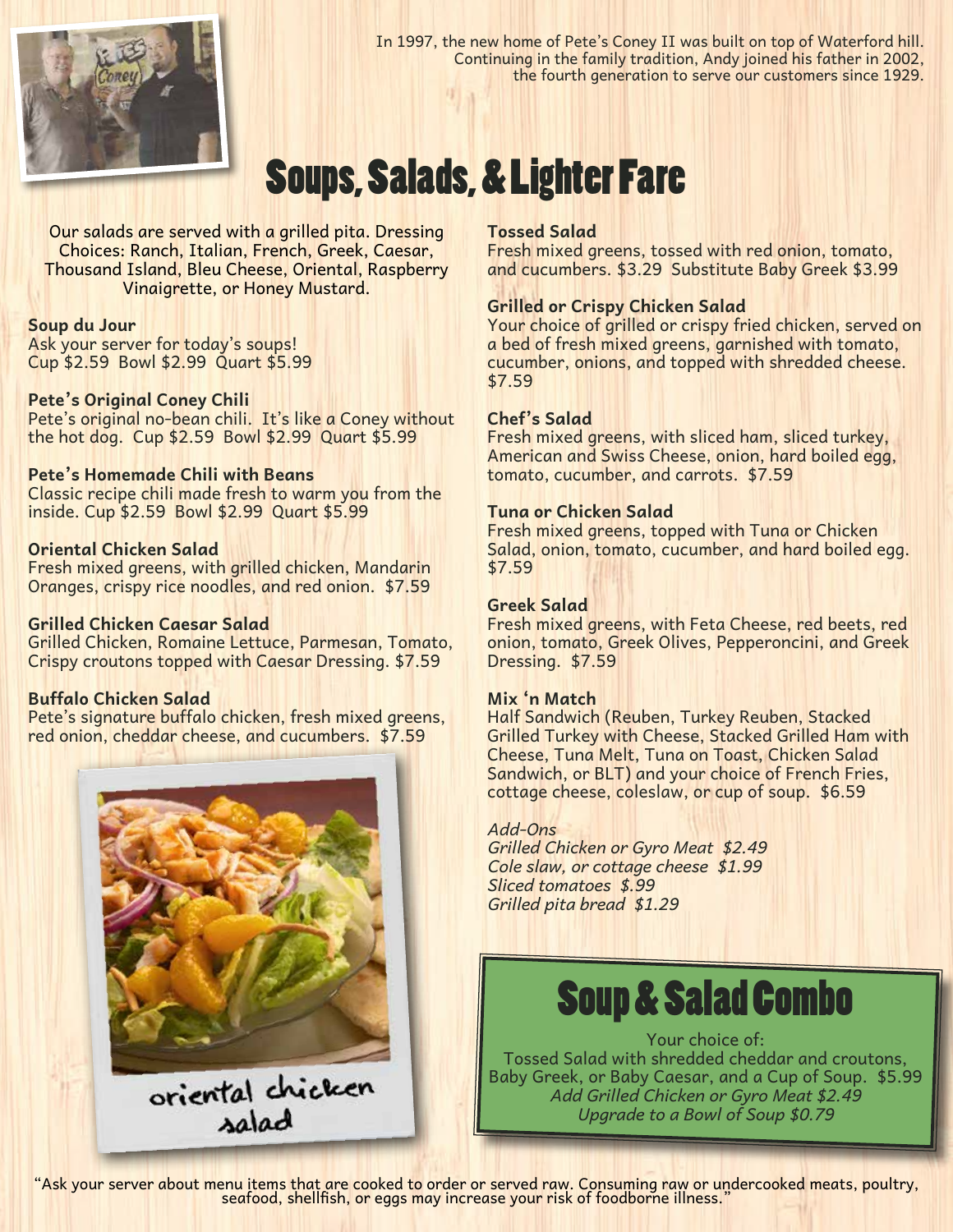

In 1997, the new home of Pete's Coney II was built on top of Waterford hill. Continuing in the family tradition, Andy joined his father in 2002, the fourth generation to serve our customers since 1929.

# Soups, Salads, & Lighter Fare

Our salads are served with a grilled pita. Dressing Choices: Ranch, Italian, French, Greek, Caesar, Thousand Island, Bleu Cheese, Oriental, Raspberry Vinaigrette, or Honey Mustard.

### **Soup du Jour**

Ask your server for today's soups! Cup \$2.59 Bowl \$2.99 Quart \$5.99

### **Pete's Original Coney Chili**

Pete's original no-bean chili. It's like a Coney without the hot dog. Cup \$2.59 Bowl \$2.99 Quart \$5.99

### **Pete's Homemade Chili with Beans**

Classic recipe chili made fresh to warm you from the inside. Cup \$2.59 Bowl \$2.99 Quart \$5.99

### **Oriental Chicken Salad**

Fresh mixed greens, with grilled chicken, Mandarin Oranges, crispy rice noodles, and red onion. \$7.59

### **Grilled Chicken Caesar Salad**

Grilled Chicken, Romaine Lettuce, Parmesan, Tomato, Crispy croutons topped with Caesar Dressing. \$7.59

### **Buffalo Chicken Salad**

Pete's signature buffalo chicken, fresh mixed greens, red onion, cheddar cheese, and cucumbers. \$7.59



oriental chicken

### **Tossed Salad**

Fresh mixed greens, tossed with red onion, tomato, and cucumbers. \$3.29 Substitute Baby Greek \$3.99

### **Grilled or Crispy Chicken Salad**

Your choice of grilled or crispy fried chicken, served on a bed of fresh mixed greens, garnished with tomato, cucumber, onions, and topped with shredded cheese. \$7.59

### **Chef's Salad**

Fresh mixed greens, with sliced ham, sliced turkey, American and Swiss Cheese, onion, hard boiled egg, tomato, cucumber, and carrots. \$7.59

### **Tuna or Chicken Salad**

Fresh mixed greens, topped with Tuna or Chicken Salad, onion, tomato, cucumber, and hard boiled egg. \$7.59

### **Greek Salad**

Fresh mixed greens, with Feta Cheese, red beets, red onion, tomato, Greek Olives, Pepperoncini, and Greek Dressing. \$7.59

### **Mix 'n Match**

Half Sandwich (Reuben, Turkey Reuben, Stacked Grilled Turkey with Cheese, Stacked Grilled Ham with Cheese, Tuna Melt, Tuna on Toast, Chicken Salad Sandwich, or BLT) and your choice of French Fries, cottage cheese, coleslaw, or cup of soup. \$6.59

### *Add-Ons*

*Grilled Chicken or Gyro Meat \$2.49 Cole slaw, or cottage cheese \$1.99 Sliced tomatoes \$.99 Grilled pita bread \$1.29*

### Soup & Salad Combo

Your choice of: Tossed Salad with shredded cheddar and croutons, Baby Greek, or Baby Caesar, and a Cup of Soup. \$5.99 *Add Grilled Chicken or Gyro Meat \$2.49 Upgrade to a Bowl of Soup \$0.79*